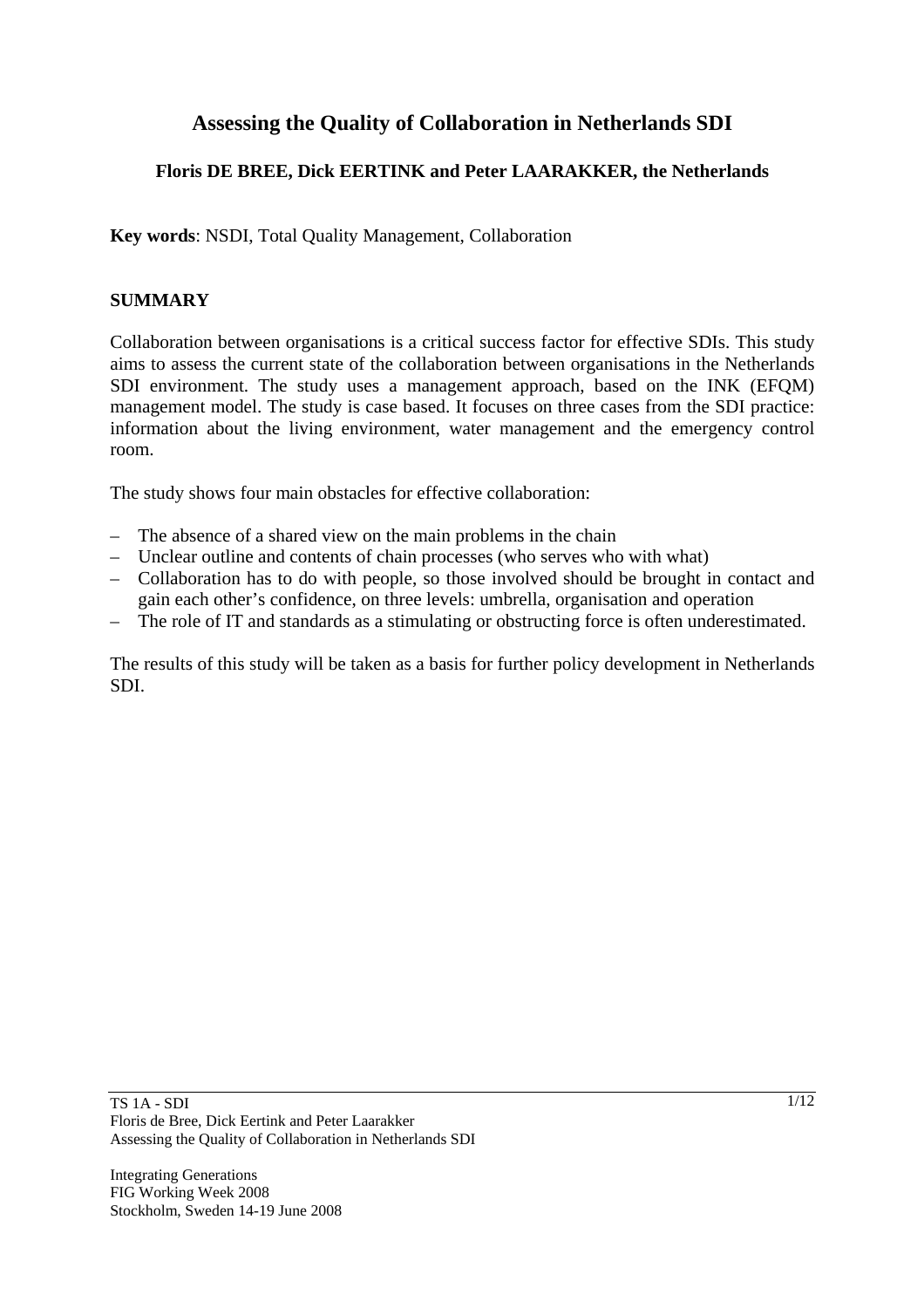# **Assessing the Quality of Collaboration in Netherlands SDI**

# **Floris DE BREE, Dick EERTINK and Peter LAARAKKER, the Netherlands**

**Key words**: NSDI, Total Quality Management, Collaboration

## **SUMMARY**

Collaboration between organisations is a critical success factor for effective SDIs. This study aims to assess the current state of the collaboration between organisations in the Netherlands SDI environment. The study uses a management approach, based on the INK (EFQM) management model. The study is case based. It focuses on three cases from the SDI practice: information about the living environment, water management and the emergency control room.

The study shows four main obstacles for effective collaboration:

- The absence of a shared view on the main problems in the chain
- Unclear outline and contents of chain processes (who serves who with what)
- Collaboration has to do with people, so those involved should be brought in contact and gain each other's confidence, on three levels: umbrella, organisation and operation
- The role of IT and standards as a stimulating or obstructing force is often underestimated.

The results of this study will be taken as a basis for further policy development in Netherlands SDI.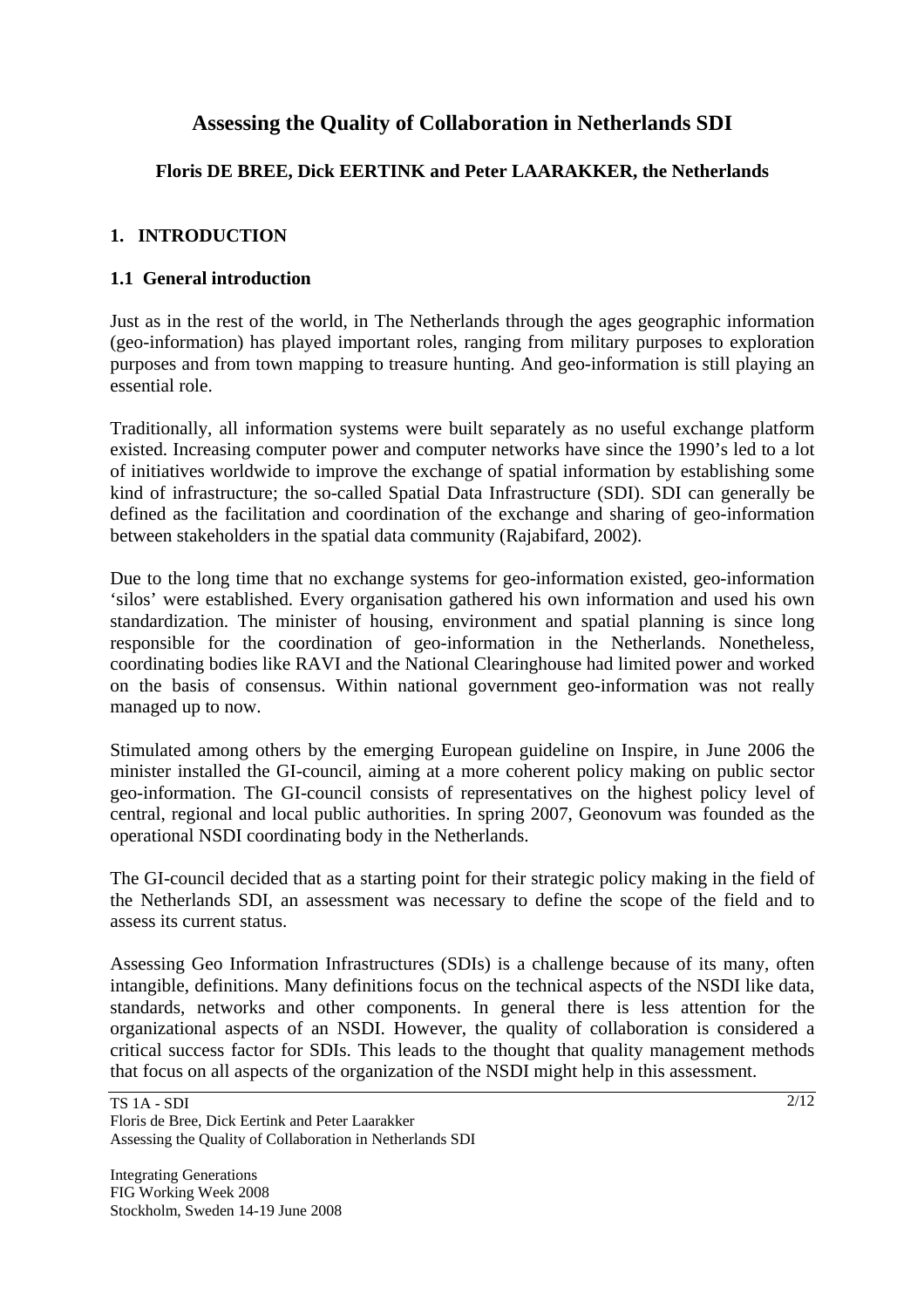# **Assessing the Quality of Collaboration in Netherlands SDI**

# **Floris DE BREE, Dick EERTINK and Peter LAARAKKER, the Netherlands**

## **1. INTRODUCTION**

### **1.1 General introduction**

Just as in the rest of the world, in The Netherlands through the ages geographic information (geo-information) has played important roles, ranging from military purposes to exploration purposes and from town mapping to treasure hunting. And geo-information is still playing an essential role.

Traditionally, all information systems were built separately as no useful exchange platform existed. Increasing computer power and computer networks have since the 1990's led to a lot of initiatives worldwide to improve the exchange of spatial information by establishing some kind of infrastructure; the so-called Spatial Data Infrastructure (SDI). SDI can generally be defined as the facilitation and coordination of the exchange and sharing of geo-information between stakeholders in the spatial data community (Rajabifard, 2002).

Due to the long time that no exchange systems for geo-information existed, geo-information 'silos' were established. Every organisation gathered his own information and used his own standardization. The minister of housing, environment and spatial planning is since long responsible for the coordination of geo-information in the Netherlands. Nonetheless, coordinating bodies like RAVI and the National Clearinghouse had limited power and worked on the basis of consensus. Within national government geo-information was not really managed up to now.

Stimulated among others by the emerging European guideline on Inspire, in June 2006 the minister installed the GI-council, aiming at a more coherent policy making on public sector geo-information. The GI-council consists of representatives on the highest policy level of central, regional and local public authorities. In spring 2007, Geonovum was founded as the operational NSDI coordinating body in the Netherlands.

The GI-council decided that as a starting point for their strategic policy making in the field of the Netherlands SDI, an assessment was necessary to define the scope of the field and to assess its current status.

Assessing Geo Information Infrastructures (SDIs) is a challenge because of its many, often intangible, definitions. Many definitions focus on the technical aspects of the NSDI like data, standards, networks and other components. In general there is less attention for the organizational aspects of an NSDI. However, the quality of collaboration is considered a critical success factor for SDIs. This leads to the thought that quality management methods that focus on all aspects of the organization of the NSDI might help in this assessment.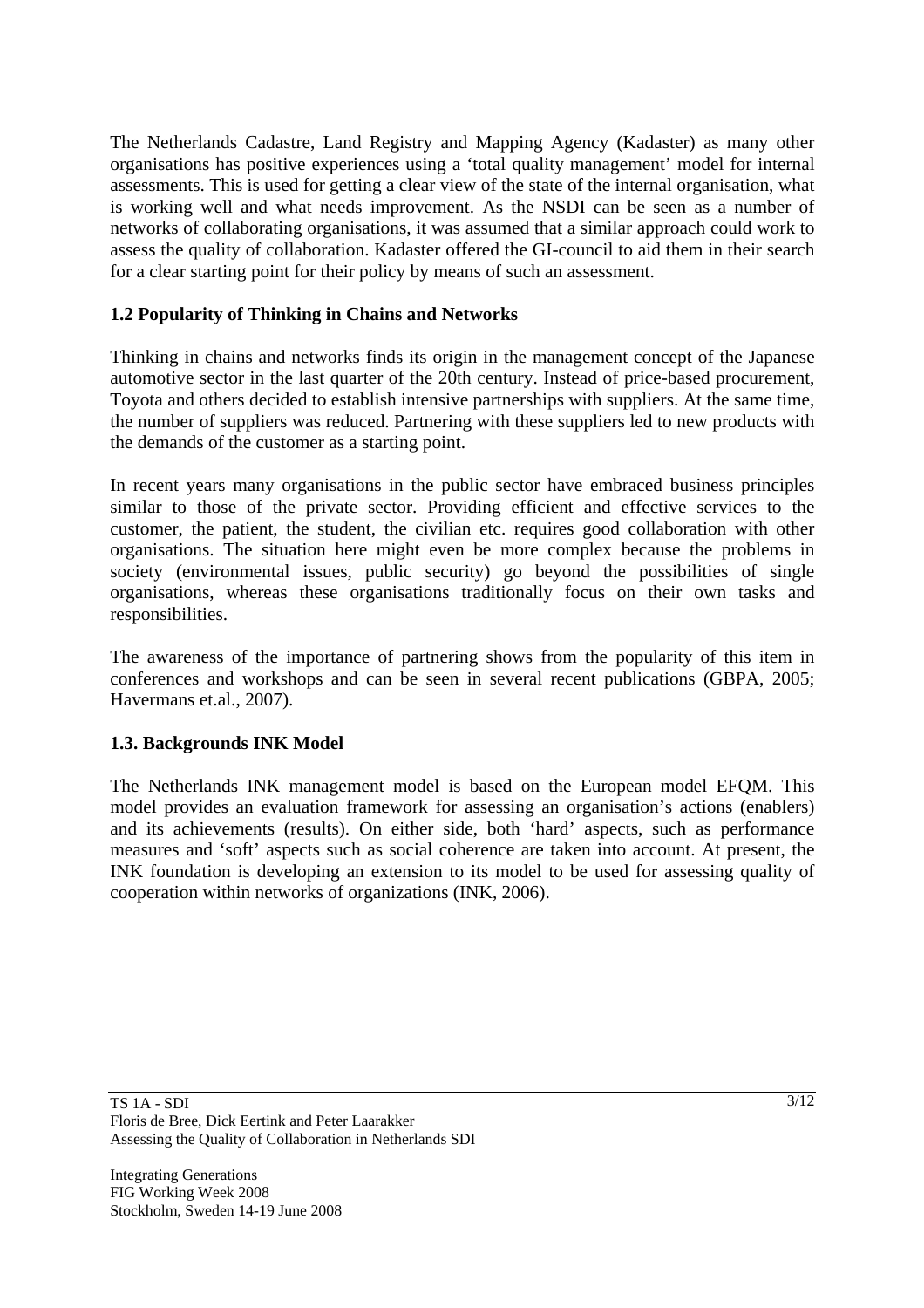The Netherlands Cadastre, Land Registry and Mapping Agency (Kadaster) as many other organisations has positive experiences using a 'total quality management' model for internal assessments. This is used for getting a clear view of the state of the internal organisation, what is working well and what needs improvement. As the NSDI can be seen as a number of networks of collaborating organisations, it was assumed that a similar approach could work to assess the quality of collaboration. Kadaster offered the GI-council to aid them in their search for a clear starting point for their policy by means of such an assessment.

## **1.2 Popularity of Thinking in Chains and Networks**

Thinking in chains and networks finds its origin in the management concept of the Japanese automotive sector in the last quarter of the 20th century. Instead of price-based procurement, Toyota and others decided to establish intensive partnerships with suppliers. At the same time, the number of suppliers was reduced. Partnering with these suppliers led to new products with the demands of the customer as a starting point.

In recent years many organisations in the public sector have embraced business principles similar to those of the private sector. Providing efficient and effective services to the customer, the patient, the student, the civilian etc. requires good collaboration with other organisations. The situation here might even be more complex because the problems in society (environmental issues, public security) go beyond the possibilities of single organisations, whereas these organisations traditionally focus on their own tasks and responsibilities.

The awareness of the importance of partnering shows from the popularity of this item in conferences and workshops and can be seen in several recent publications (GBPA, 2005; Havermans et.al., 2007).

### **1.3. Backgrounds INK Model**

The Netherlands INK management model is based on the European model EFQM. This model provides an evaluation framework for assessing an organisation's actions (enablers) and its achievements (results). On either side, both 'hard' aspects, such as performance measures and 'soft' aspects such as social coherence are taken into account. At present, the INK foundation is developing an extension to its model to be used for assessing quality of cooperation within networks of organizations (INK, 2006).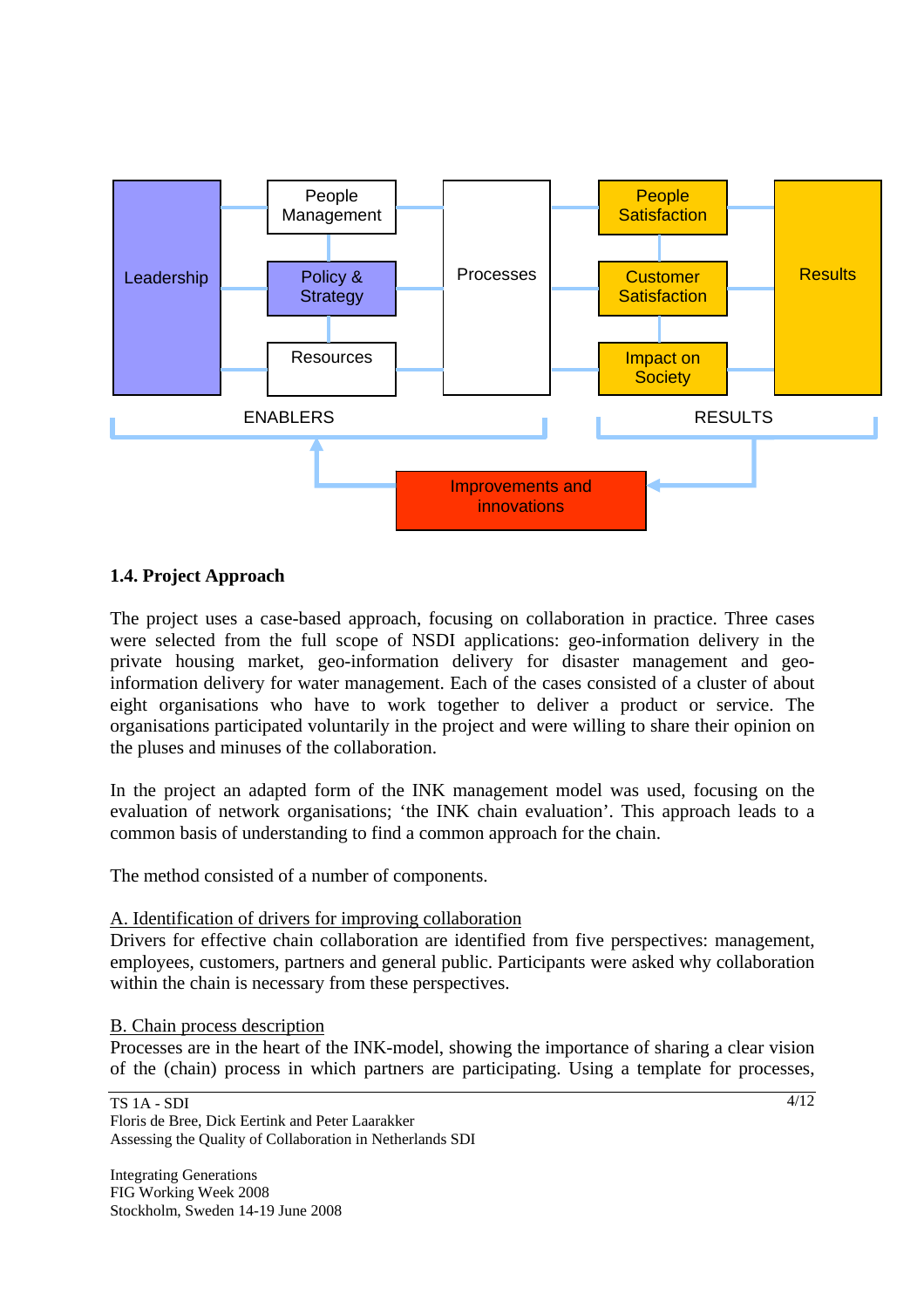

### **1.4. Project Approach**

The project uses a case-based approach, focusing on collaboration in practice. Three cases were selected from the full scope of NSDI applications: geo-information delivery in the private housing market, geo-information delivery for disaster management and geoinformation delivery for water management. Each of the cases consisted of a cluster of about eight organisations who have to work together to deliver a product or service. The organisations participated voluntarily in the project and were willing to share their opinion on the pluses and minuses of the collaboration.

In the project an adapted form of the INK management model was used, focusing on the evaluation of network organisations; 'the INK chain evaluation'. This approach leads to a common basis of understanding to find a common approach for the chain.

The method consisted of a number of components.

#### A. Identification of drivers for improving collaboration

Drivers for effective chain collaboration are identified from five perspectives: management, employees, customers, partners and general public. Participants were asked why collaboration within the chain is necessary from these perspectives.

#### B. Chain process description

Processes are in the heart of the INK-model, showing the importance of sharing a clear vision of the (chain) process in which partners are participating. Using a template for processes,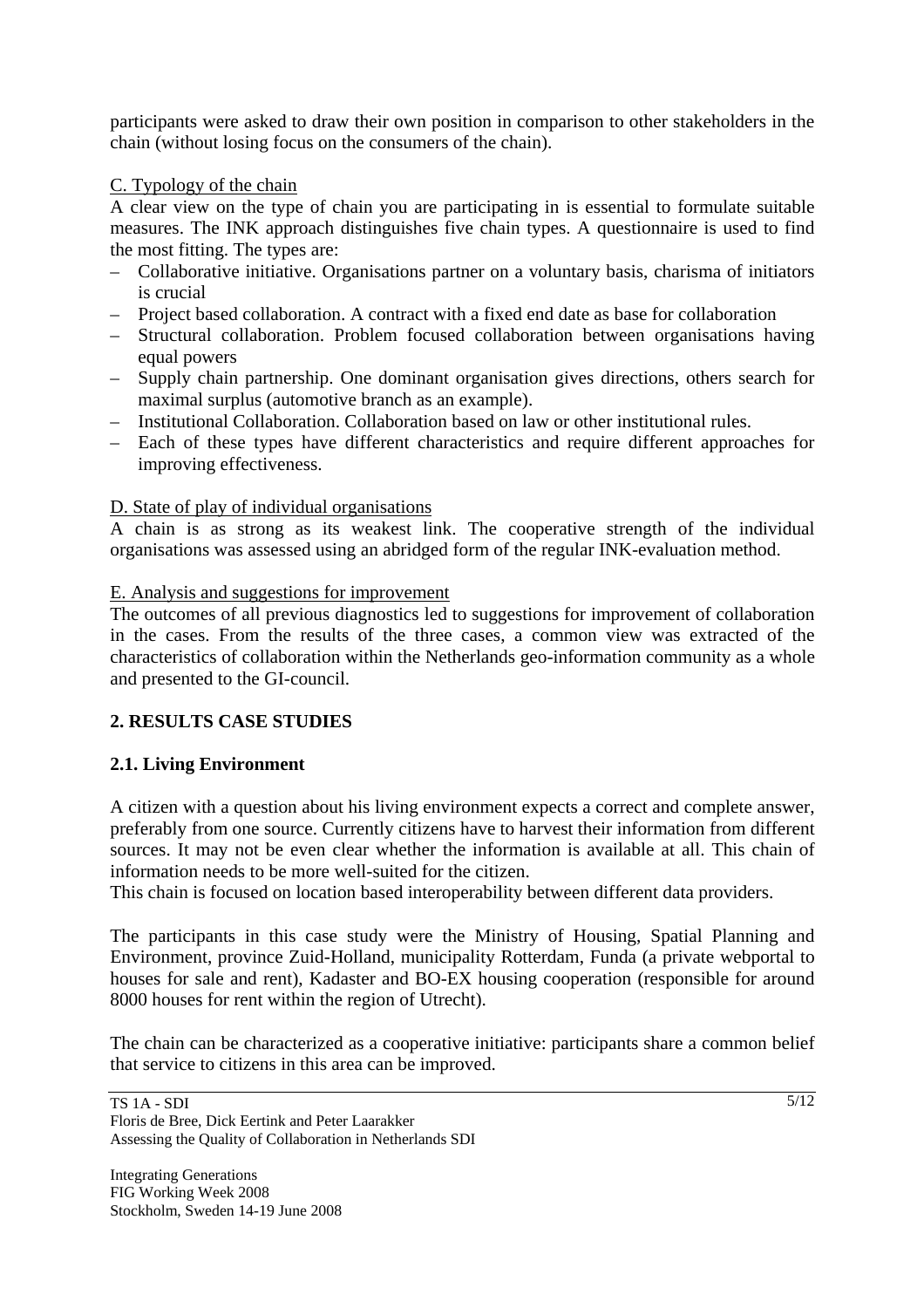participants were asked to draw their own position in comparison to other stakeholders in the chain (without losing focus on the consumers of the chain).

## C. Typology of the chain

A clear view on the type of chain you are participating in is essential to formulate suitable measures. The INK approach distinguishes five chain types. A questionnaire is used to find the most fitting. The types are:

- Collaborative initiative. Organisations partner on a voluntary basis, charisma of initiators is crucial
- Project based collaboration. A contract with a fixed end date as base for collaboration
- Structural collaboration. Problem focused collaboration between organisations having equal powers
- Supply chain partnership. One dominant organisation gives directions, others search for maximal surplus (automotive branch as an example).
- Institutional Collaboration. Collaboration based on law or other institutional rules.
- Each of these types have different characteristics and require different approaches for improving effectiveness.

# D. State of play of individual organisations

A chain is as strong as its weakest link. The cooperative strength of the individual organisations was assessed using an abridged form of the regular INK-evaluation method.

### E. Analysis and suggestions for improvement

The outcomes of all previous diagnostics led to suggestions for improvement of collaboration in the cases. From the results of the three cases, a common view was extracted of the characteristics of collaboration within the Netherlands geo-information community as a whole and presented to the GI-council.

# **2. RESULTS CASE STUDIES**

# **2.1. Living Environment**

A citizen with a question about his living environment expects a correct and complete answer, preferably from one source. Currently citizens have to harvest their information from different sources. It may not be even clear whether the information is available at all. This chain of information needs to be more well-suited for the citizen.

This chain is focused on location based interoperability between different data providers.

The participants in this case study were the Ministry of Housing, Spatial Planning and Environment, province Zuid-Holland, municipality Rotterdam, Funda (a private webportal to houses for sale and rent), Kadaster and BO-EX housing cooperation (responsible for around 8000 houses for rent within the region of Utrecht).

The chain can be characterized as a cooperative initiative: participants share a common belief that service to citizens in this area can be improved.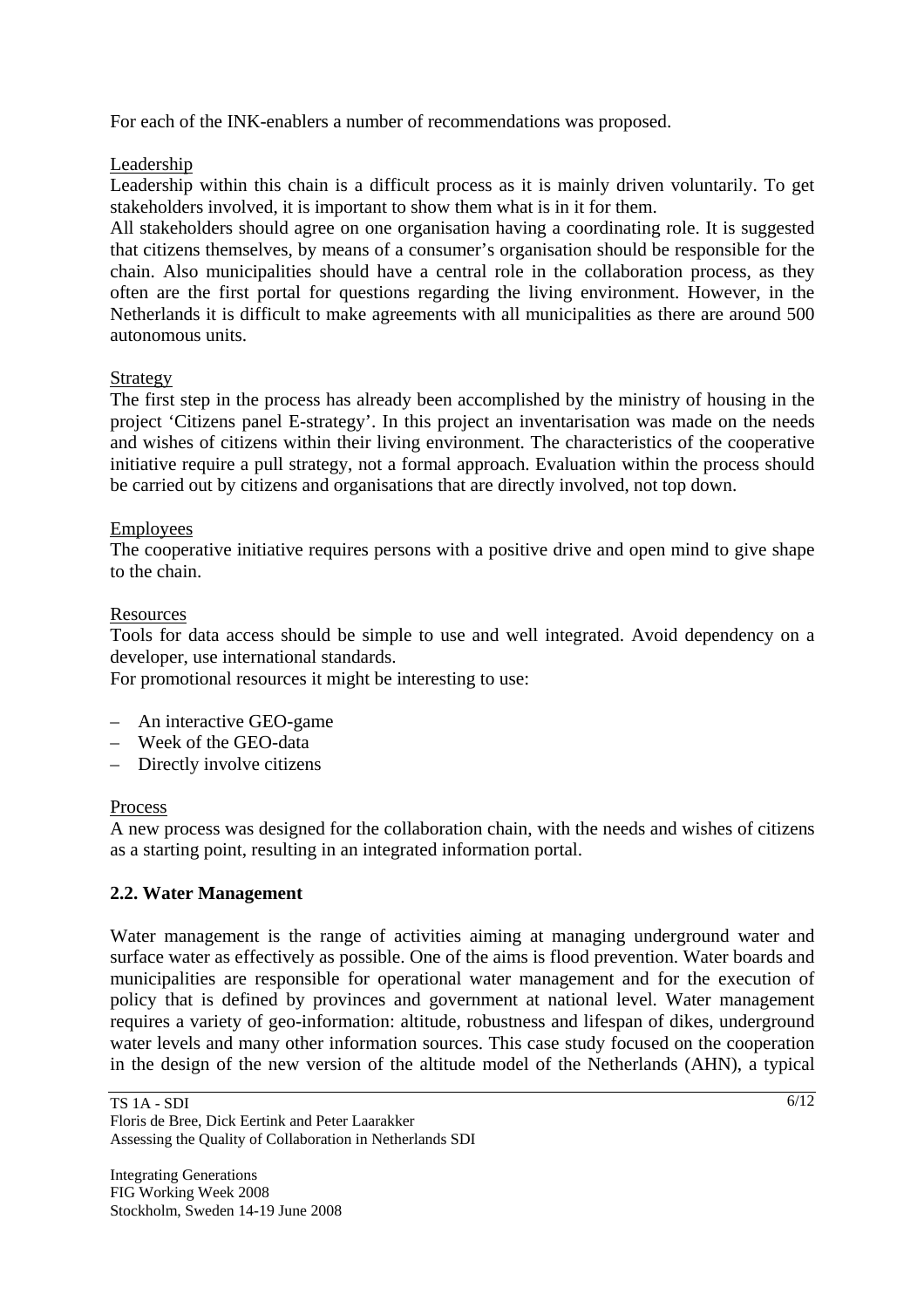For each of the INK-enablers a number of recommendations was proposed.

Leadership

Leadership within this chain is a difficult process as it is mainly driven voluntarily. To get stakeholders involved, it is important to show them what is in it for them.

All stakeholders should agree on one organisation having a coordinating role. It is suggested that citizens themselves, by means of a consumer's organisation should be responsible for the chain. Also municipalities should have a central role in the collaboration process, as they often are the first portal for questions regarding the living environment. However, in the Netherlands it is difficult to make agreements with all municipalities as there are around 500 autonomous units.

# Strategy

The first step in the process has already been accomplished by the ministry of housing in the project 'Citizens panel E-strategy'. In this project an inventarisation was made on the needs and wishes of citizens within their living environment. The characteristics of the cooperative initiative require a pull strategy, not a formal approach. Evaluation within the process should be carried out by citizens and organisations that are directly involved, not top down.

# **Employees**

The cooperative initiative requires persons with a positive drive and open mind to give shape to the chain.

# Resources

Tools for data access should be simple to use and well integrated. Avoid dependency on a developer, use international standards.

For promotional resources it might be interesting to use:

- An interactive GEO-game
- Week of the GEO-data
- Directly involve citizens

### Process

A new process was designed for the collaboration chain, with the needs and wishes of citizens as a starting point, resulting in an integrated information portal.

# **2.2. Water Management**

Water management is the range of activities aiming at managing underground water and surface water as effectively as possible. One of the aims is flood prevention. Water boards and municipalities are responsible for operational water management and for the execution of policy that is defined by provinces and government at national level. Water management requires a variety of geo-information: altitude, robustness and lifespan of dikes, underground water levels and many other information sources. This case study focused on the cooperation in the design of the new version of the altitude model of the Netherlands (AHN), a typical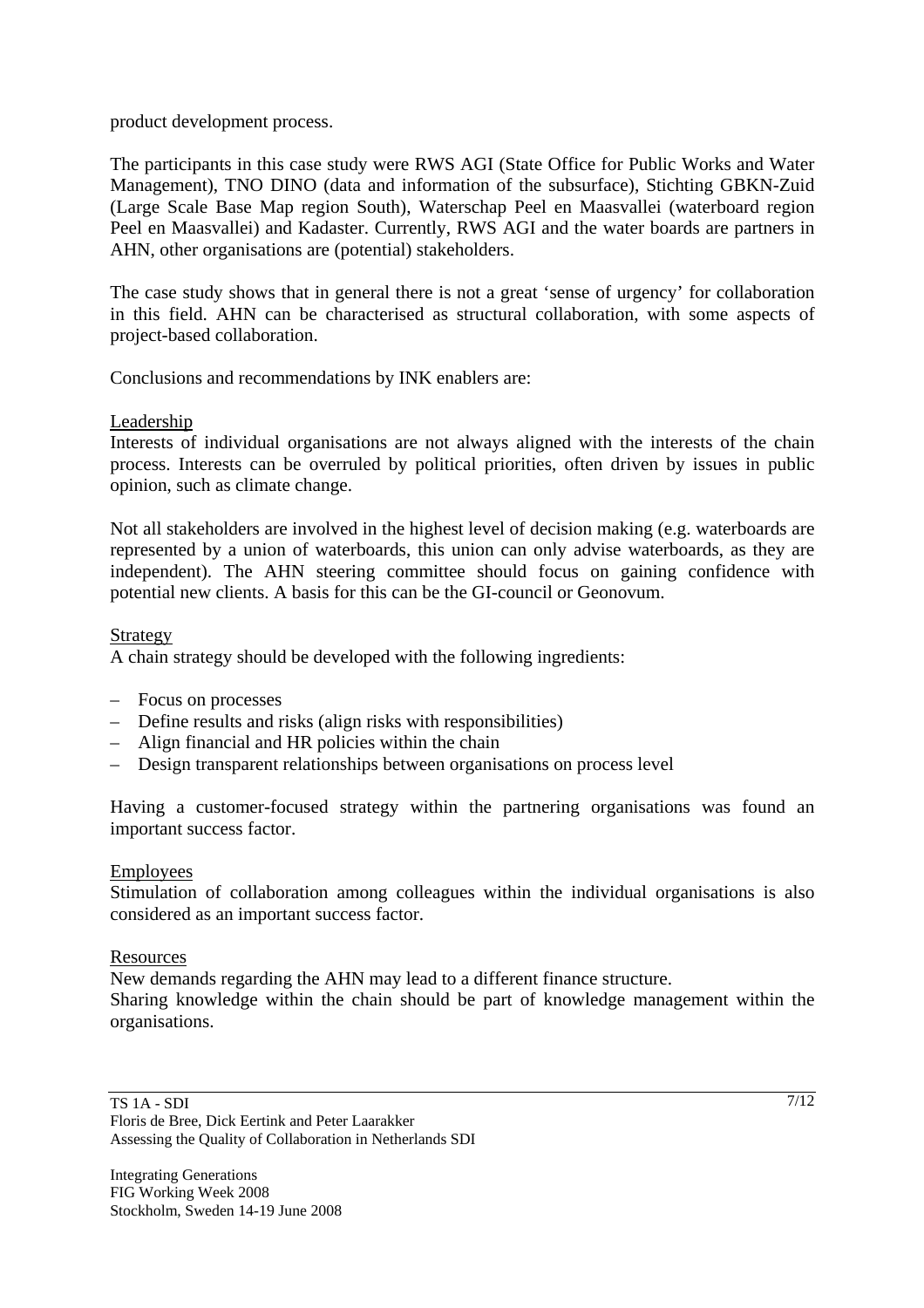product development process.

The participants in this case study were RWS AGI (State Office for Public Works and Water Management), TNO DINO (data and information of the subsurface), Stichting GBKN-Zuid (Large Scale Base Map region South), Waterschap Peel en Maasvallei (waterboard region Peel en Maasvallei) and Kadaster. Currently, RWS AGI and the water boards are partners in AHN, other organisations are (potential) stakeholders.

The case study shows that in general there is not a great 'sense of urgency' for collaboration in this field. AHN can be characterised as structural collaboration, with some aspects of project-based collaboration.

Conclusions and recommendations by INK enablers are:

### Leadership

Interests of individual organisations are not always aligned with the interests of the chain process. Interests can be overruled by political priorities, often driven by issues in public opinion, such as climate change.

Not all stakeholders are involved in the highest level of decision making (e.g. waterboards are represented by a union of waterboards, this union can only advise waterboards, as they are independent). The AHN steering committee should focus on gaining confidence with potential new clients. A basis for this can be the GI-council or Geonovum.

### Strategy

A chain strategy should be developed with the following ingredients:

- Focus on processes
- Define results and risks (align risks with responsibilities)
- Align financial and HR policies within the chain
- Design transparent relationships between organisations on process level

Having a customer-focused strategy within the partnering organisations was found an important success factor.

#### Employees

Stimulation of collaboration among colleagues within the individual organisations is also considered as an important success factor.

#### Resources

New demands regarding the AHN may lead to a different finance structure. Sharing knowledge within the chain should be part of knowledge management within the organisations.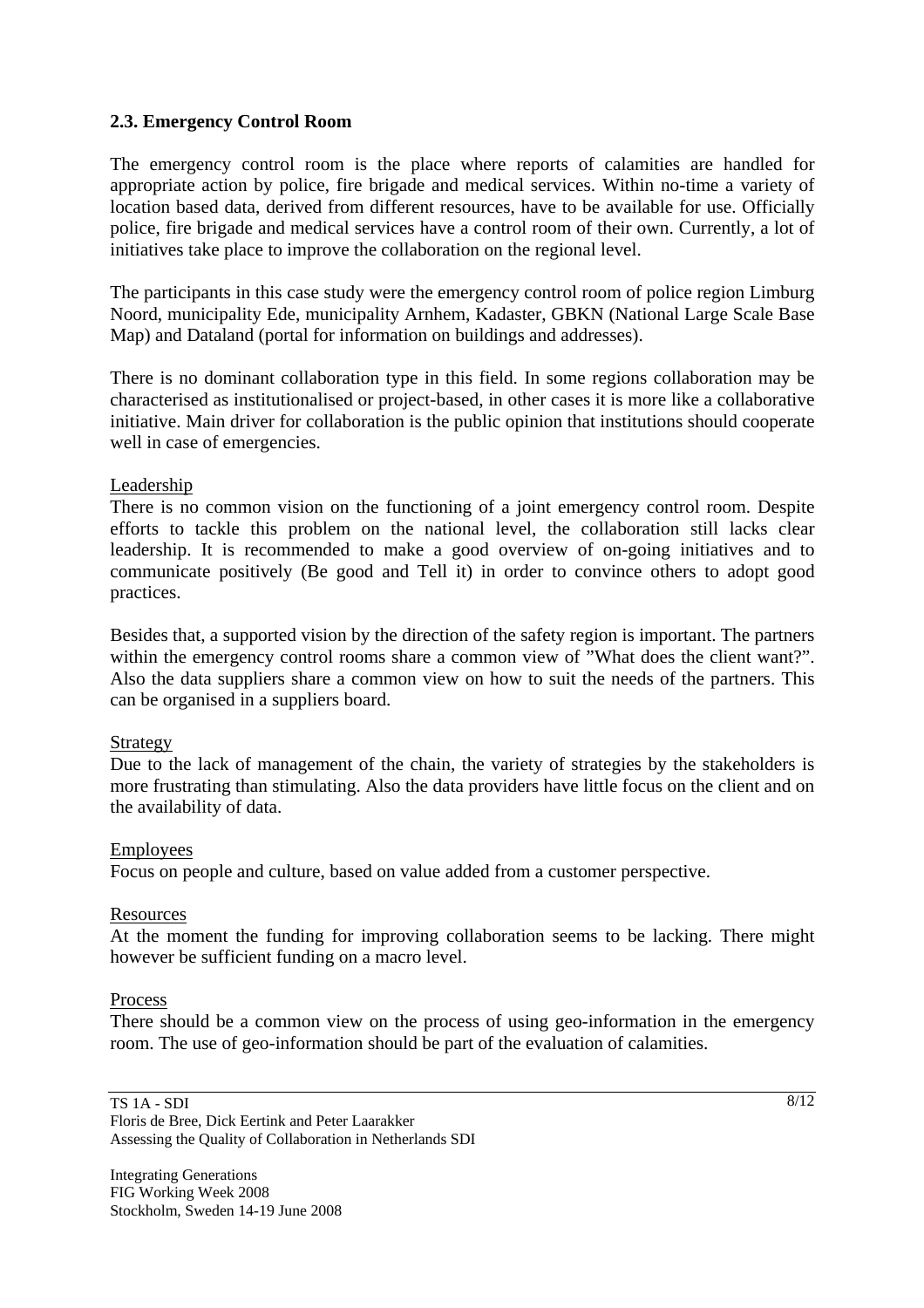### **2.3. Emergency Control Room**

The emergency control room is the place where reports of calamities are handled for appropriate action by police, fire brigade and medical services. Within no-time a variety of location based data, derived from different resources, have to be available for use. Officially police, fire brigade and medical services have a control room of their own. Currently, a lot of initiatives take place to improve the collaboration on the regional level.

The participants in this case study were the emergency control room of police region Limburg Noord, municipality Ede, municipality Arnhem, Kadaster, GBKN (National Large Scale Base Map) and Dataland (portal for information on buildings and addresses).

There is no dominant collaboration type in this field. In some regions collaboration may be characterised as institutionalised or project-based, in other cases it is more like a collaborative initiative. Main driver for collaboration is the public opinion that institutions should cooperate well in case of emergencies.

#### Leadership

There is no common vision on the functioning of a joint emergency control room. Despite efforts to tackle this problem on the national level, the collaboration still lacks clear leadership. It is recommended to make a good overview of on-going initiatives and to communicate positively (Be good and Tell it) in order to convince others to adopt good practices.

Besides that, a supported vision by the direction of the safety region is important. The partners within the emergency control rooms share a common view of "What does the client want?". Also the data suppliers share a common view on how to suit the needs of the partners. This can be organised in a suppliers board.

#### Strategy

Due to the lack of management of the chain, the variety of strategies by the stakeholders is more frustrating than stimulating. Also the data providers have little focus on the client and on the availability of data.

#### Employees

Focus on people and culture, based on value added from a customer perspective.

#### Resources

At the moment the funding for improving collaboration seems to be lacking. There might however be sufficient funding on a macro level.

#### Process

There should be a common view on the process of using geo-information in the emergency room. The use of geo-information should be part of the evaluation of calamities.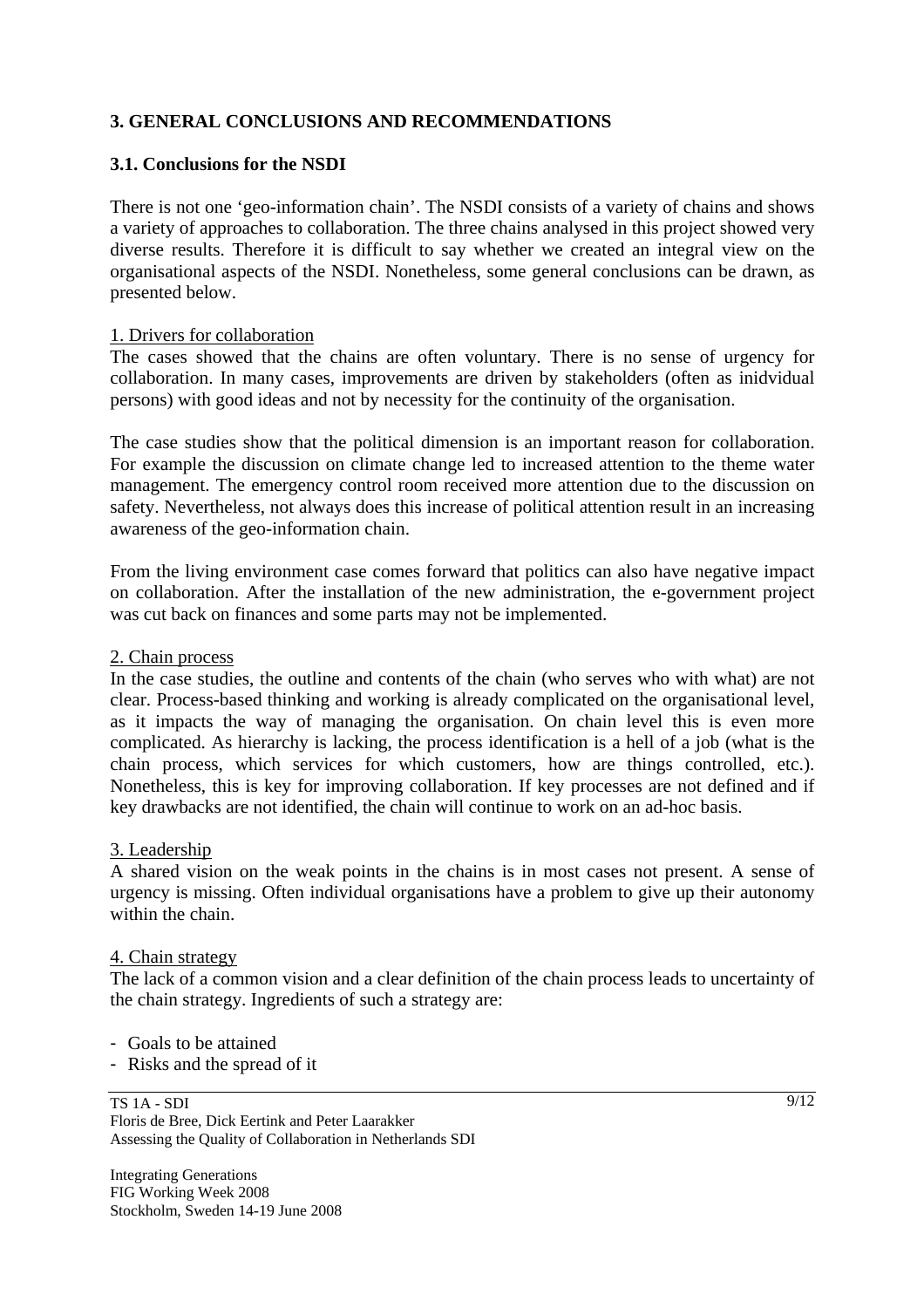# **3. GENERAL CONCLUSIONS AND RECOMMENDATIONS**

### **3.1. Conclusions for the NSDI**

There is not one 'geo-information chain'. The NSDI consists of a variety of chains and shows a variety of approaches to collaboration. The three chains analysed in this project showed very diverse results. Therefore it is difficult to say whether we created an integral view on the organisational aspects of the NSDI. Nonetheless, some general conclusions can be drawn, as presented below.

#### 1. Drivers for collaboration

The cases showed that the chains are often voluntary. There is no sense of urgency for collaboration. In many cases, improvements are driven by stakeholders (often as inidvidual persons) with good ideas and not by necessity for the continuity of the organisation.

The case studies show that the political dimension is an important reason for collaboration. For example the discussion on climate change led to increased attention to the theme water management. The emergency control room received more attention due to the discussion on safety. Nevertheless, not always does this increase of political attention result in an increasing awareness of the geo-information chain.

From the living environment case comes forward that politics can also have negative impact on collaboration. After the installation of the new administration, the e-government project was cut back on finances and some parts may not be implemented.

#### 2. Chain process

In the case studies, the outline and contents of the chain (who serves who with what) are not clear. Process-based thinking and working is already complicated on the organisational level, as it impacts the way of managing the organisation. On chain level this is even more complicated. As hierarchy is lacking, the process identification is a hell of a job (what is the chain process, which services for which customers, how are things controlled, etc.). Nonetheless, this is key for improving collaboration. If key processes are not defined and if key drawbacks are not identified, the chain will continue to work on an ad-hoc basis.

#### 3. Leadership

A shared vision on the weak points in the chains is in most cases not present. A sense of urgency is missing. Often individual organisations have a problem to give up their autonomy within the chain.

#### 4. Chain strategy

The lack of a common vision and a clear definition of the chain process leads to uncertainty of the chain strategy. Ingredients of such a strategy are:

- Goals to be attained

- Risks and the spread of it

#### TS 1A - SDI Floris de Bree, Dick Eertink and Peter Laarakker Assessing the Quality of Collaboration in Netherlands SDI

Integrating Generations FIG Working Week 2008 Stockholm, Sweden 14-19 June 2008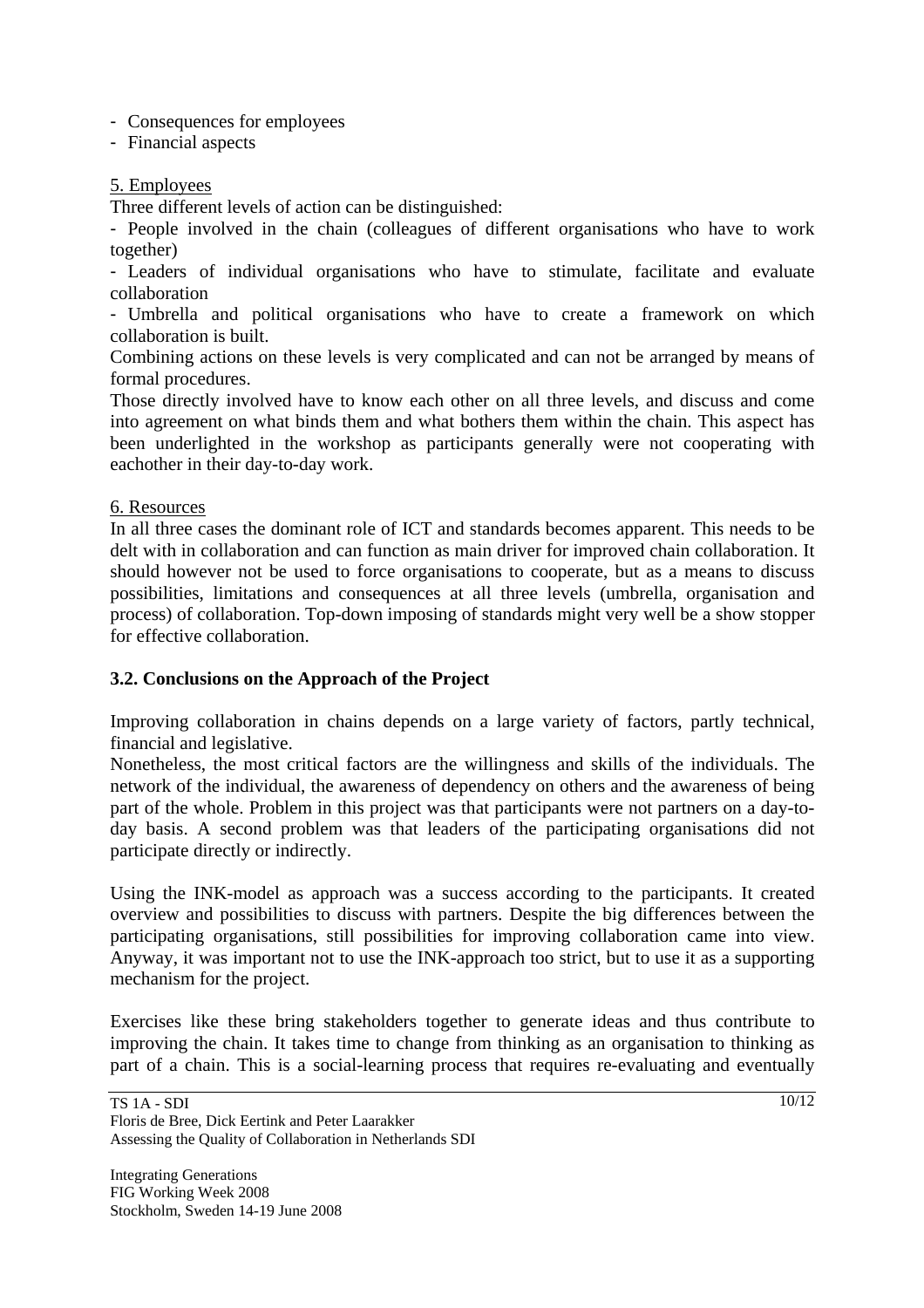- Consequences for employees

- Financial aspects

### 5. Employees

Three different levels of action can be distinguished:

- People involved in the chain (colleagues of different organisations who have to work together)

- Leaders of individual organisations who have to stimulate, facilitate and evaluate collaboration

- Umbrella and political organisations who have to create a framework on which collaboration is built.

Combining actions on these levels is very complicated and can not be arranged by means of formal procedures.

Those directly involved have to know each other on all three levels, and discuss and come into agreement on what binds them and what bothers them within the chain. This aspect has been underlighted in the workshop as participants generally were not cooperating with eachother in their day-to-day work.

#### 6. Resources

In all three cases the dominant role of ICT and standards becomes apparent. This needs to be delt with in collaboration and can function as main driver for improved chain collaboration. It should however not be used to force organisations to cooperate, but as a means to discuss possibilities, limitations and consequences at all three levels (umbrella, organisation and process) of collaboration. Top-down imposing of standards might very well be a show stopper for effective collaboration.

### **3.2. Conclusions on the Approach of the Project**

Improving collaboration in chains depends on a large variety of factors, partly technical, financial and legislative.

Nonetheless, the most critical factors are the willingness and skills of the individuals. The network of the individual, the awareness of dependency on others and the awareness of being part of the whole. Problem in this project was that participants were not partners on a day-today basis. A second problem was that leaders of the participating organisations did not participate directly or indirectly.

Using the INK-model as approach was a success according to the participants. It created overview and possibilities to discuss with partners. Despite the big differences between the participating organisations, still possibilities for improving collaboration came into view. Anyway, it was important not to use the INK-approach too strict, but to use it as a supporting mechanism for the project.

Exercises like these bring stakeholders together to generate ideas and thus contribute to improving the chain. It takes time to change from thinking as an organisation to thinking as part of a chain. This is a social-learning process that requires re-evaluating and eventually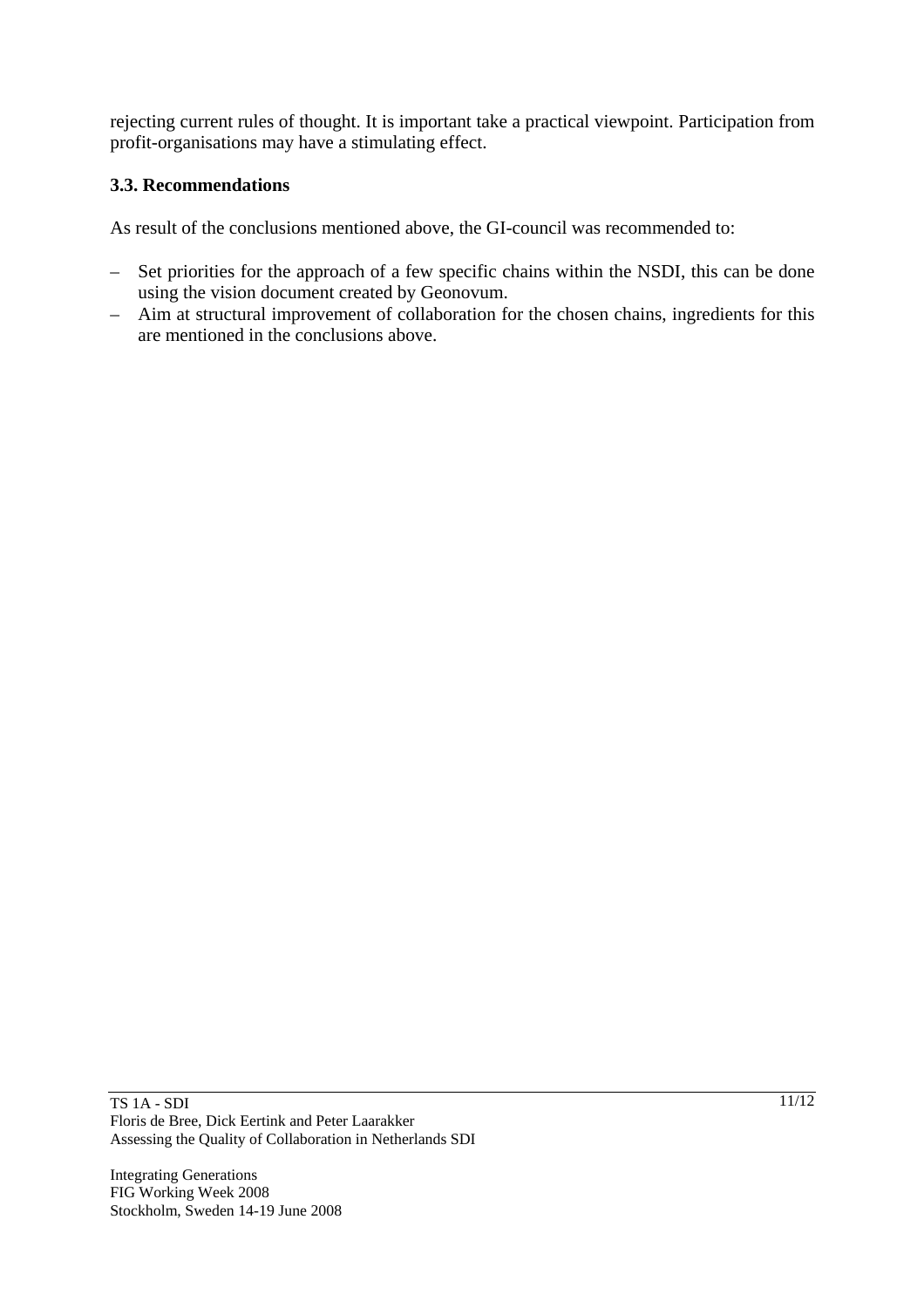rejecting current rules of thought. It is important take a practical viewpoint. Participation from profit-organisations may have a stimulating effect.

# **3.3. Recommendations**

As result of the conclusions mentioned above, the GI-council was recommended to:

- Set priorities for the approach of a few specific chains within the NSDI, this can be done using the vision document created by Geonovum.
- Aim at structural improvement of collaboration for the chosen chains, ingredients for this are mentioned in the conclusions above.